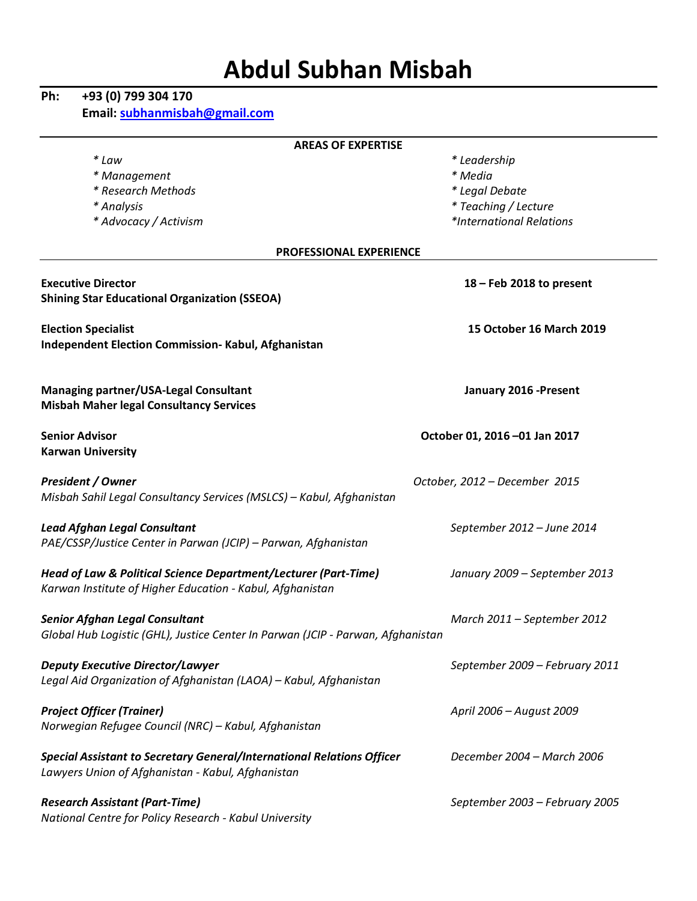# **Abdul Subhan Misbah**

# **Ph: +93 (0) 799 304 170**

**Email: subhanmisbah@gmail.com**

| <b>AREAS OF EXPERTISE</b>                                                                                                   |                                |  |  |  |
|-----------------------------------------------------------------------------------------------------------------------------|--------------------------------|--|--|--|
| * Law                                                                                                                       | * Leadership                   |  |  |  |
| * Management                                                                                                                | * Media                        |  |  |  |
| * Research Methods                                                                                                          | * Legal Debate                 |  |  |  |
| * Analysis                                                                                                                  | * Teaching / Lecture           |  |  |  |
| * Advocacy / Activism                                                                                                       | *International Relations       |  |  |  |
| <b>PROFESSIONAL EXPERIENCE</b>                                                                                              |                                |  |  |  |
|                                                                                                                             |                                |  |  |  |
| <b>Executive Director</b>                                                                                                   | $18$ – Feb 2018 to present     |  |  |  |
| <b>Shining Star Educational Organization (SSEOA)</b>                                                                        |                                |  |  |  |
|                                                                                                                             |                                |  |  |  |
| <b>Election Specialist</b>                                                                                                  | 15 October 16 March 2019       |  |  |  |
| Independent Election Commission- Kabul, Afghanistan                                                                         |                                |  |  |  |
| <b>Managing partner/USA-Legal Consultant</b>                                                                                | January 2016 - Present         |  |  |  |
| <b>Misbah Maher legal Consultancy Services</b>                                                                              |                                |  |  |  |
|                                                                                                                             |                                |  |  |  |
| <b>Senior Advisor</b>                                                                                                       | October 01, 2016 -01 Jan 2017  |  |  |  |
| <b>Karwan University</b>                                                                                                    |                                |  |  |  |
|                                                                                                                             |                                |  |  |  |
| <b>President / Owner</b><br>Misbah Sahil Legal Consultancy Services (MSLCS) - Kabul, Afghanistan                            | October, 2012 - December 2015  |  |  |  |
|                                                                                                                             |                                |  |  |  |
| <b>Lead Afghan Legal Consultant</b>                                                                                         | September 2012 - June 2014     |  |  |  |
| PAE/CSSP/Justice Center in Parwan (JCIP) - Parwan, Afghanistan                                                              |                                |  |  |  |
|                                                                                                                             |                                |  |  |  |
| Head of Law & Political Science Department/Lecturer (Part-Time)                                                             | January 2009 - September 2013  |  |  |  |
| Karwan Institute of Higher Education - Kabul, Afghanistan                                                                   |                                |  |  |  |
| <b>Senior Afghan Legal Consultant</b>                                                                                       | March 2011 - September 2012    |  |  |  |
| Global Hub Logistic (GHL), Justice Center In Parwan (JCIP - Parwan, Afghanistan                                             |                                |  |  |  |
|                                                                                                                             |                                |  |  |  |
| <b>Deputy Executive Director/Lawyer</b>                                                                                     | September 2009 - February 2011 |  |  |  |
| Legal Aid Organization of Afghanistan (LAOA) - Kabul, Afghanistan                                                           |                                |  |  |  |
|                                                                                                                             |                                |  |  |  |
| <b>Project Officer (Trainer)</b>                                                                                            | April 2006 - August 2009       |  |  |  |
| Norwegian Refugee Council (NRC) - Kabul, Afghanistan                                                                        |                                |  |  |  |
|                                                                                                                             | December 2004 - March 2006     |  |  |  |
| Special Assistant to Secretary General/International Relations Officer<br>Lawyers Union of Afghanistan - Kabul, Afghanistan |                                |  |  |  |
|                                                                                                                             |                                |  |  |  |
| <b>Research Assistant (Part-Time)</b>                                                                                       | September 2003 - February 2005 |  |  |  |
| National Centre for Policy Research - Kabul University                                                                      |                                |  |  |  |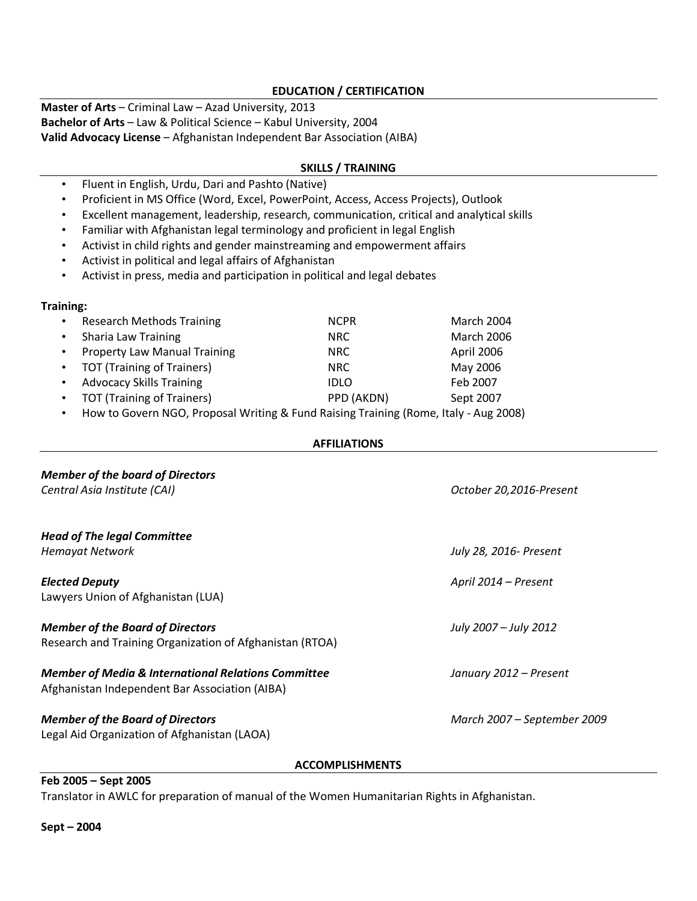#### **EDUCATION / CERTIFICATION**

**Master of Arts** – Criminal Law – Azad University, 2013 **Bachelor of Arts** – Law & Political Science – Kabul University, 2004 **Valid Advocacy License** – Afghanistan Independent Bar Association (AIBA)

#### **SKILLS / TRAINING**

- Fluent in English, Urdu, Dari and Pashto (Native)
- Proficient in MS Office (Word, Excel, PowerPoint, Access, Access Projects), Outlook
- Excellent management, leadership, research, communication, critical and analytical skills
- Familiar with Afghanistan legal terminology and proficient in legal English
- Activist in child rights and gender mainstreaming and empowerment affairs
- Activist in political and legal affairs of Afghanistan
- Activist in press, media and participation in political and legal debates

#### **Training:**

| $\bullet$ | <b>Research Methods Training</b>    | <b>NCPR</b> | March 2004        |
|-----------|-------------------------------------|-------------|-------------------|
| $\bullet$ | Sharia Law Training                 | NRC.        | <b>March 2006</b> |
| $\bullet$ | <b>Property Law Manual Training</b> | NRC.        | April 2006        |
|           | • TOT (Training of Trainers)        | NRC.        | May 2006          |
| $\bullet$ | <b>Advocacy Skills Training</b>     | <b>IDLO</b> | Feb 2007          |
| $\bullet$ | <b>TOT (Training of Trainers)</b>   | PPD (AKDN)  | Sept 2007         |

• How to Govern NGO, Proposal Writing & Fund Raising Training (Rome, Italy - Aug 2008)

#### **AFFILIATIONS**

| <b>Member of the board of Directors</b><br>Central Asia Institute (CAI)                                          | October 20,2016-Present     |
|------------------------------------------------------------------------------------------------------------------|-----------------------------|
| <b>Head of The legal Committee</b><br><b>Hemayat Network</b>                                                     | July 28, 2016- Present      |
| <b>Elected Deputy</b><br>Lawyers Union of Afghanistan (LUA)                                                      | April 2014 - Present        |
| <b>Member of the Board of Directors</b><br>Research and Training Organization of Afghanistan (RTOA)              | July 2007 – July 2012       |
| <b>Member of Media &amp; International Relations Committee</b><br>Afghanistan Independent Bar Association (AIBA) | January 2012 – Present      |
| <b>Member of the Board of Directors</b><br>Legal Aid Organization of Afghanistan (LAOA)                          | March 2007 – September 2009 |

#### **ACCOMPLISHMENTS**

**Feb 2005 – Sept 2005**

Translator in AWLC for preparation of manual of the Women Humanitarian Rights in Afghanistan.